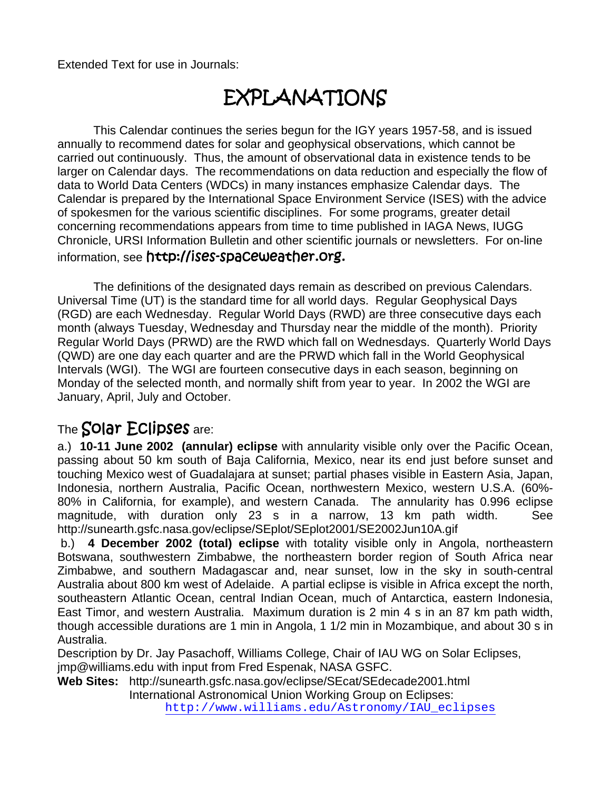Extended Text for use in Journals:

# EXPLANATIONS

This Calendar continues the series begun for the IGY years 1957-58, and is issued annually to recommend dates for solar and geophysical observations, which cannot be carried out continuously. Thus, the amount of observational data in existence tends to be larger on Calendar days. The recommendations on data reduction and especially the flow of data to World Data Centers (WDCs) in many instances emphasize Calendar days. The Calendar is prepared by the International Space Environment Service (ISES) with the advice of spokesmen for the various scientific disciplines. For some programs, greater detail concerning recommendations appears from time to time published in IAGA News, IUGG Chronicle, URSI Information Bulletin and other scientific journals or newsletters. For on-line information, see http://ises-spaceweather.org.

The definitions of the designated days remain as described on previous Calendars. Universal Time (UT) is the standard time for all world days. Regular Geophysical Days (RGD) are each Wednesday. Regular World Days (RWD) are three consecutive days each month (always Tuesday, Wednesday and Thursday near the middle of the month). Priority Regular World Days (PRWD) are the RWD which fall on Wednesdays. Quarterly World Days (QWD) are one day each quarter and are the PRWD which fall in the World Geophysical Intervals (WGI). The WGI are fourteen consecutive days in each season, beginning on Monday of the selected month, and normally shift from year to year. In 2002 the WGI are January, April, July and October.

#### The **SOIAT** EClipses are:

a.) **10-11 June 2002 (annular) eclipse** with annularity visible only over the Pacific Ocean, passing about 50 km south of Baja California, Mexico, near its end just before sunset and touching Mexico west of Guadalajara at sunset; partial phases visible in Eastern Asia, Japan, Indonesia, northern Australia, Pacific Ocean, northwestern Mexico, western U.S.A. (60%- 80% in California, for example), and western Canada. The annularity has 0.996 eclipse magnitude, with duration only 23 s in a narrow, 13 km path width. See http://sunearth.gsfc.nasa.gov/eclipse/SEplot/SEplot2001/SE2002Jun10A.gif

 b.) **4 December 2002 (total) eclipse** with totality visible only in Angola, northeastern Botswana, southwestern Zimbabwe, the northeastern border region of South Africa near Zimbabwe, and southern Madagascar and, near sunset, low in the sky in south-central Australia about 800 km west of Adelaide. A partial eclipse is visible in Africa except the north, southeastern Atlantic Ocean, central Indian Ocean, much of Antarctica, eastern Indonesia, East Timor, and western Australia. Maximum duration is 2 min 4 s in an 87 km path width, though accessible durations are 1 min in Angola, 1 1/2 min in Mozambique, and about 30 s in Australia.

Description by Dr. Jay Pasachoff, Williams College, Chair of IAU WG on Solar Eclipses, jmp@williams.edu with input from Fred Espenak, NASA GSFC.

**Web Sites:** http://sunearth.gsfc.nasa.gov/eclipse/SEcat/SEdecade2001.html International Astronomical Union Working Group on Eclipses: http://www.williams.edu/Astronomy/IAU\_eclipses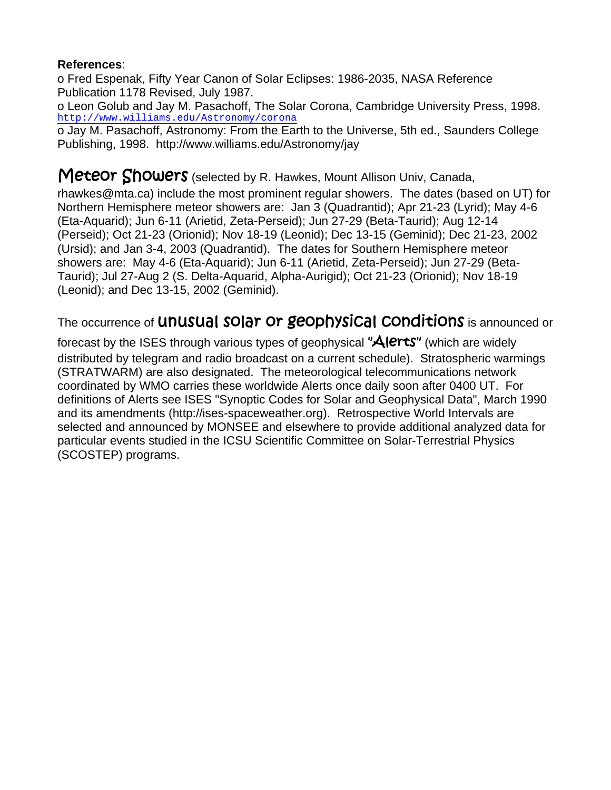#### **References**:

o Fred Espenak, Fifty Year Canon of Solar Eclipses: 1986-2035, NASA Reference Publication 1178 Revised, July 1987.

o Leon Golub and Jay M. Pasachoff, The Solar Corona, Cambridge University Press, 1998. http://www.williams.edu/Astronomy/corona

o Jay M. Pasachoff, Astronomy: From the Earth to the Universe, 5th ed., Saunders College Publishing, 1998. http://www.williams.edu/Astronomy/jay

#### Meteor Showers (selected by R. Hawkes, Mount Allison Univ, Canada,

rhawkes@mta.ca) include the most prominent regular showers. The dates (based on UT) for Northern Hemisphere meteor showers are: Jan 3 (Quadrantid); Apr 21-23 (Lyrid); May 4-6 (Eta-Aquarid); Jun 6-11 (Arietid, Zeta-Perseid); Jun 27-29 (Beta-Taurid); Aug 12-14 (Perseid); Oct 21-23 (Orionid); Nov 18-19 (Leonid); Dec 13-15 (Geminid); Dec 21-23, 2002 (Ursid); and Jan 3-4, 2003 (Quadrantid). The dates for Southern Hemisphere meteor showers are: May 4-6 (Eta-Aquarid); Jun 6-11 (Arietid, Zeta-Perseid); Jun 27-29 (Beta-Taurid); Jul 27-Aug 2 (S. Delta-Aquarid, Alpha-Aurigid); Oct 21-23 (Orionid); Nov 18-19 (Leonid); and Dec 13-15, 2002 (Geminid).

The occurrence of **UNUSUAI SOIAT OT GEOPHYSICAI CONDITIONS** is announced or

forecast by the ISES through various types of geophysical "Alerts" (which are widely distributed by telegram and radio broadcast on a current schedule). Stratospheric warmings (STRATWARM) are also designated. The meteorological telecommunications network coordinated by WMO carries these worldwide Alerts once daily soon after 0400 UT. For definitions of Alerts see ISES "Synoptic Codes for Solar and Geophysical Data", March 1990 and its amendments (http://ises-spaceweather.org). Retrospective World Intervals are selected and announced by MONSEE and elsewhere to provide additional analyzed data for particular events studied in the ICSU Scientific Committee on Solar-Terrestrial Physics (SCOSTEP) programs.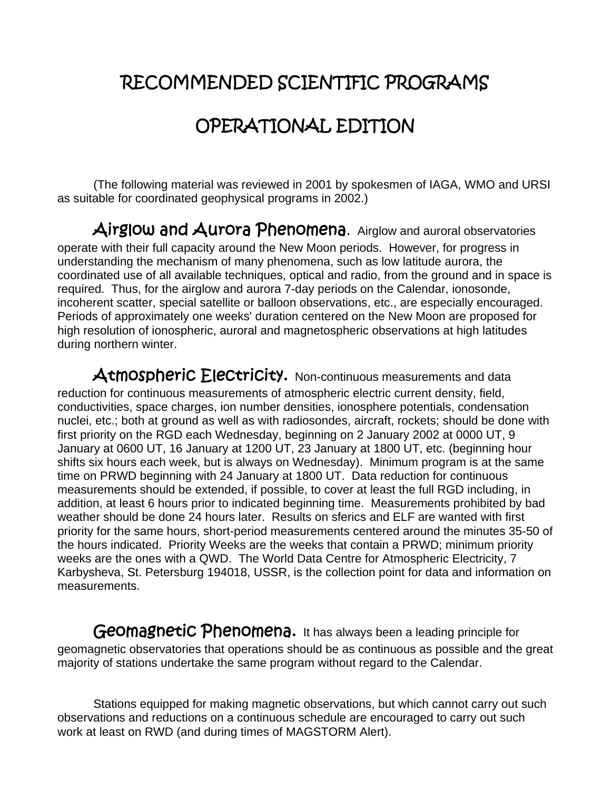# RECOMMENDED SCIENTIFIC PROGRAMS

# OPERATIONAL EDITION

(The following material was reviewed in 2001 by spokesmen of IAGA, WMO and URSI as suitable for coordinated geophysical programs in 2002.)

Airglow and Aurora Phenomena. Airglow and auroral observatories operate with their full capacity around the New Moon periods. However, for progress in understanding the mechanism of many phenomena, such as low latitude aurora, the coordinated use of all available techniques, optical and radio, from the ground and in space is required. Thus, for the airglow and aurora 7-day periods on the Calendar, ionosonde, incoherent scatter, special satellite or balloon observations, etc., are especially encouraged. Periods of approximately one weeks' duration centered on the New Moon are proposed for high resolution of ionospheric, auroral and magnetospheric observations at high latitudes during northern winter.

Atmospheric Electricity. Non-continuous measurements and data reduction for continuous measurements of atmospheric electric current density, field, conductivities, space charges, ion number densities, ionosphere potentials, condensation nuclei, etc.; both at ground as well as with radiosondes, aircraft, rockets; should be done with first priority on the RGD each Wednesday, beginning on 2 January 2002 at 0000 UT, 9 January at 0600 UT, 16 January at 1200 UT, 23 January at 1800 UT, etc. (beginning hour shifts six hours each week, but is always on Wednesday). Minimum program is at the same time on PRWD beginning with 24 January at 1800 UT. Data reduction for continuous measurements should be extended, if possible, to cover at least the full RGD including, in addition, at least 6 hours prior to indicated beginning time. Measurements prohibited by bad weather should be done 24 hours later. Results on sferics and ELF are wanted with first priority for the same hours, short-period measurements centered around the minutes 35-50 of the hours indicated. Priority Weeks are the weeks that contain a PRWD; minimum priority weeks are the ones with a QWD. The World Data Centre for Atmospheric Electricity, 7 Karbysheva, St. Petersburg 194018, USSR, is the collection point for data and information on measurements.

Geomagnetic Phenomena. It has always been a leading principle for geomagnetic observatories that operations should be as continuous as possible and the great majority of stations undertake the same program without regard to the Calendar.

Stations equipped for making magnetic observations, but which cannot carry out such observations and reductions on a continuous schedule are encouraged to carry out such work at least on RWD (and during times of MAGSTORM Alert).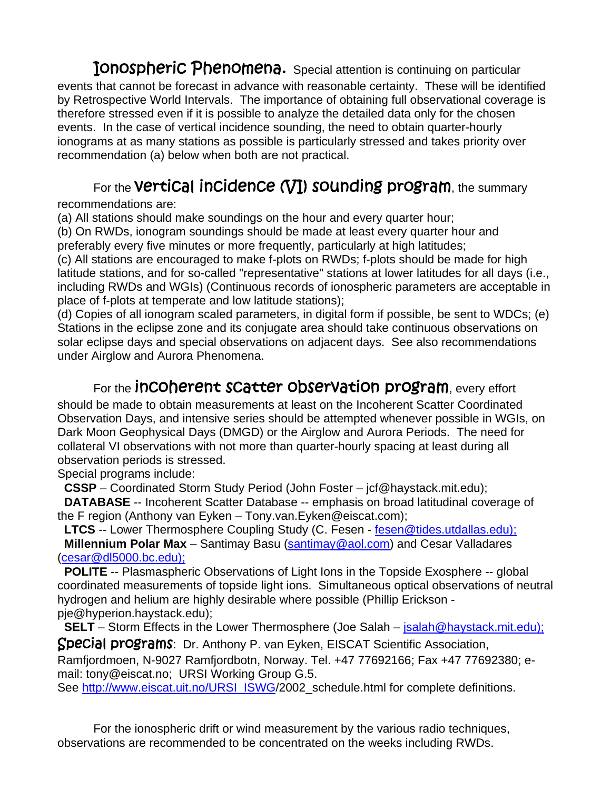**IONOSPheric Phenomena.** Special attention is continuing on particular events that cannot be forecast in advance with reasonable certainty. These will be identified by Retrospective World Intervals. The importance of obtaining full observational coverage is therefore stressed even if it is possible to analyze the detailed data only for the chosen events. In the case of vertical incidence sounding, the need to obtain quarter-hourly ionograms at as many stations as possible is particularly stressed and takes priority over recommendation (a) below when both are not practical.

### For the **VertiCal incidence (VI) sounding program**, the summary

recommendations are:

(a) All stations should make soundings on the hour and every quarter hour;

(b) On RWDs, ionogram soundings should be made at least every quarter hour and preferably every five minutes or more frequently, particularly at high latitudes;

(c) All stations are encouraged to make f-plots on RWDs; f-plots should be made for high latitude stations, and for so-called "representative" stations at lower latitudes for all days (i.e., including RWDs and WGIs) (Continuous records of ionospheric parameters are acceptable in place of f-plots at temperate and low latitude stations);

(d) Copies of all ionogram scaled parameters, in digital form if possible, be sent to WDCs; (e) Stations in the eclipse zone and its conjugate area should take continuous observations on solar eclipse days and special observations on adjacent days. See also recommendations under Airglow and Aurora Phenomena.

#### For the **inCOherent sCatter obserVatiOn program**, every effort

should be made to obtain measurements at least on the Incoherent Scatter Coordinated Observation Days, and intensive series should be attempted whenever possible in WGIs, on Dark Moon Geophysical Days (DMGD) or the Airglow and Aurora Periods. The need for collateral VI observations with not more than quarter-hourly spacing at least during all observation periods is stressed.

Special programs include:

**CSSP** – Coordinated Storm Study Period (John Foster – jcf@haystack.mit.edu);

**DATABASE** -- Incoherent Scatter Database -- emphasis on broad latitudinal coverage of the F region (Anthony van Eyken – Tony.van.Eyken@eiscat.com);

LTCS -- Lower Thermosphere Coupling Study (C. Fesen - fesen@tides.utdallas.edu); **Millennium Polar Max** – Santimay Basu (santimay@aol.com) and Cesar Valladares (cesar@dl5000.bc.edu);

**POLITE** -- Plasmaspheric Observations of Light Ions in the Topside Exosphere -- global coordinated measurements of topside light ions. Simultaneous optical observations of neutral hydrogen and helium are highly desirable where possible (Phillip Erickson pje@hyperion.haystack.edu);

**SELT** – Storm Effects in the Lower Thermosphere (Joe Salah – jsalah@haystack.mit.edu);

Special programs: Dr. Anthony P. van Eyken, EISCAT Scientific Association, Ramfjordmoen, N-9027 Ramfjordbotn, Norway. Tel. +47 77692166; Fax +47 77692380; email: tony@eiscat.no; URSI Working Group G.5.

See http://www.eiscat.uit.no/URSI\_ISWG/2002\_schedule.html for complete definitions.

For the ionospheric drift or wind measurement by the various radio techniques, observations are recommended to be concentrated on the weeks including RWDs.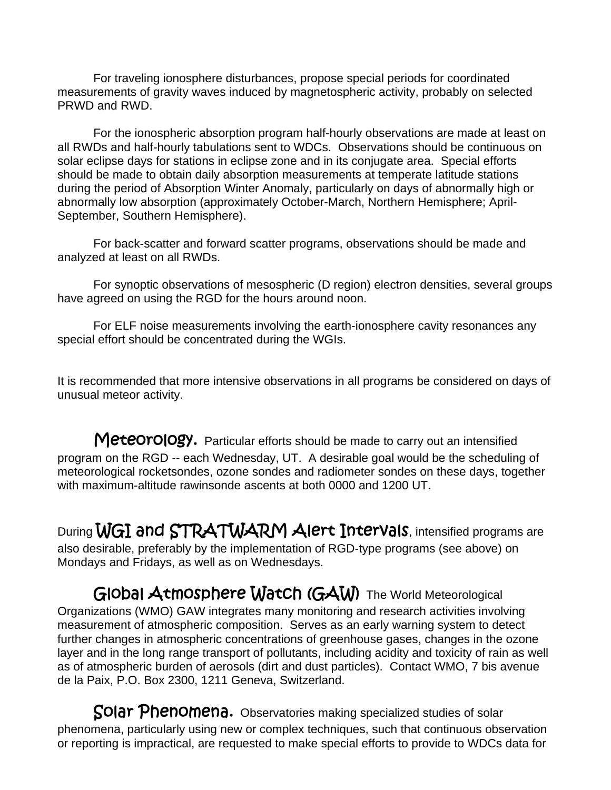For traveling ionosphere disturbances, propose special periods for coordinated measurements of gravity waves induced by magnetospheric activity, probably on selected PRWD and RWD.

For the ionospheric absorption program half-hourly observations are made at least on all RWDs and half-hourly tabulations sent to WDCs. Observations should be continuous on solar eclipse days for stations in eclipse zone and in its conjugate area. Special efforts should be made to obtain daily absorption measurements at temperate latitude stations during the period of Absorption Winter Anomaly, particularly on days of abnormally high or abnormally low absorption (approximately October-March, Northern Hemisphere; April-September, Southern Hemisphere).

For back-scatter and forward scatter programs, observations should be made and analyzed at least on all RWDs.

For synoptic observations of mesospheric (D region) electron densities, several groups have agreed on using the RGD for the hours around noon.

For ELF noise measurements involving the earth-ionosphere cavity resonances any special effort should be concentrated during the WGIs.

It is recommended that more intensive observations in all programs be considered on days of unusual meteor activity.

Meteorology. Particular efforts should be made to carry out an intensified program on the RGD -- each Wednesday, UT. A desirable goal would be the scheduling of meteorological rocketsondes, ozone sondes and radiometer sondes on these days, together with maximum-altitude rawinsonde ascents at both 0000 and 1200 UT.

During WGI and STRATWARM Alert Intervals, intensified programs are also desirable, preferably by the implementation of RGD-type programs (see above) on Mondays and Fridays, as well as on Wednesdays.

#### Global Atmosphere Watch (GAW) The World Meteorological

Organizations (WMO) GAW integrates many monitoring and research activities involving measurement of atmospheric composition. Serves as an early warning system to detect further changes in atmospheric concentrations of greenhouse gases, changes in the ozone layer and in the long range transport of pollutants, including acidity and toxicity of rain as well as of atmospheric burden of aerosols (dirt and dust particles). Contact WMO, 7 bis avenue de la Paix, P.O. Box 2300, 1211 Geneva, Switzerland.

Solar Phenomena. Observatories making specialized studies of solar phenomena, particularly using new or complex techniques, such that continuous observation or reporting is impractical, are requested to make special efforts to provide to WDCs data for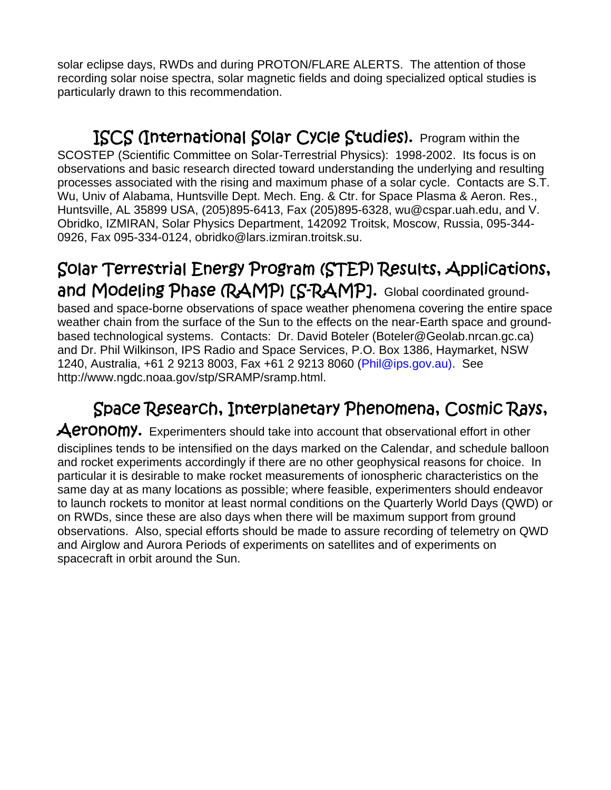solar eclipse days, RWDs and during PROTON/FLARE ALERTS. The attention of those recording solar noise spectra, solar magnetic fields and doing specialized optical studies is particularly drawn to this recommendation.

ISCS (International Solar Cycle Studies). Program within the SCOSTEP (Scientific Committee on Solar-Terrestrial Physics): 1998-2002. Its focus is on observations and basic research directed toward understanding the underlying and resulting processes associated with the rising and maximum phase of a solar cycle. Contacts are S.T. Wu, Univ of Alabama, Huntsville Dept. Mech. Eng. & Ctr. for Space Plasma & Aeron. Res., Huntsville, AL 35899 USA, (205)895-6413, Fax (205)895-6328, wu@cspar.uah.edu, and V. Obridko, IZMIRAN, Solar Physics Department, 142092 Troitsk, Moscow, Russia, 095-344- 0926, Fax 095-334-0124, obridko@lars.izmiran.troitsk.su.

### Solar Terrestrial Energy Program (STEP) Results, Applications, and Modeling Phase (RAMP) [S-RAMP]. Global coordinated ground-

based and space-borne observations of space weather phenomena covering the entire space weather chain from the surface of the Sun to the effects on the near-Earth space and groundbased technological systems. Contacts: Dr. David Boteler (Boteler@Geolab.nrcan.gc.ca) and Dr. Phil Wilkinson, IPS Radio and Space Services, P.O. Box 1386, Haymarket, NSW 1240, Australia, +61 2 9213 8003, Fax +61 2 9213 8060 (Phil@ips.gov.au). See http://www.ngdc.noaa.gov/stp/SRAMP/sramp.html.

## Space Research, Interplanetary Phenomena, Cosmic Rays,

Aeronomy. Experimenters should take into account that observational effort in other disciplines tends to be intensified on the days marked on the Calendar, and schedule balloon and rocket experiments accordingly if there are no other geophysical reasons for choice. In particular it is desirable to make rocket measurements of ionospheric characteristics on the same day at as many locations as possible; where feasible, experimenters should endeavor to launch rockets to monitor at least normal conditions on the Quarterly World Days (QWD) or on RWDs, since these are also days when there will be maximum support from ground observations. Also, special efforts should be made to assure recording of telemetry on QWD and Airglow and Aurora Periods of experiments on satellites and of experiments on spacecraft in orbit around the Sun.